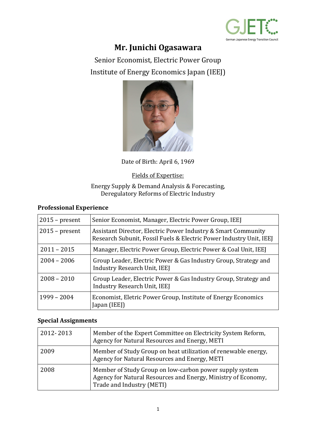

# **Mr. Junichi Ogasawara**

Senior Economist, Electric Power Group Institute of Energy Economics Japan (IEEJ)



Date of Birth: April 6, 1969

### Fields of Expertise:

#### Energy Supply & Demand Analysis & Forecasting, Deregulatory Reforms of Electric Industry

### **Professional Experience**

| $2015$ – present | Senior Economist, Manager, Electric Power Group, IEEJ                                                                                |
|------------------|--------------------------------------------------------------------------------------------------------------------------------------|
| $2015$ – present | Assistant Director, Electric Power Industry & Smart Community<br>Research Subunit, Fossil Fuels & Electric Power Industry Unit, IEEJ |
| $2011 - 2015$    | Manager, Electric Power Group, Electric Power & Coal Unit, IEEJ                                                                      |
| $2004 - 2006$    | Group Leader, Electric Power & Gas Industry Group, Strategy and<br>Industry Research Unit, IEEJ                                      |
| $2008 - 2010$    | Group Leader, Electric Power & Gas Industry Group, Strategy and<br>Industry Research Unit, IEEJ                                      |
| $1999 - 2004$    | Economist, Eletric Power Group, Institute of Energy Economics<br>Japan (IEEJ)                                                        |

### **Special Assignments**

| 2012-2013 | Member of the Expert Committee on Electricity System Reform,<br>Agency for Natural Resources and Energy, METI                                         |
|-----------|-------------------------------------------------------------------------------------------------------------------------------------------------------|
| 2009      | Member of Study Group on heat utilization of renewable energy,<br>Agency for Natural Resources and Energy, METI                                       |
| 2008      | Member of Study Group on low-carbon power supply system<br>Agency for Natural Resources and Energy, Ministry of Economy,<br>Trade and Industry (METI) |